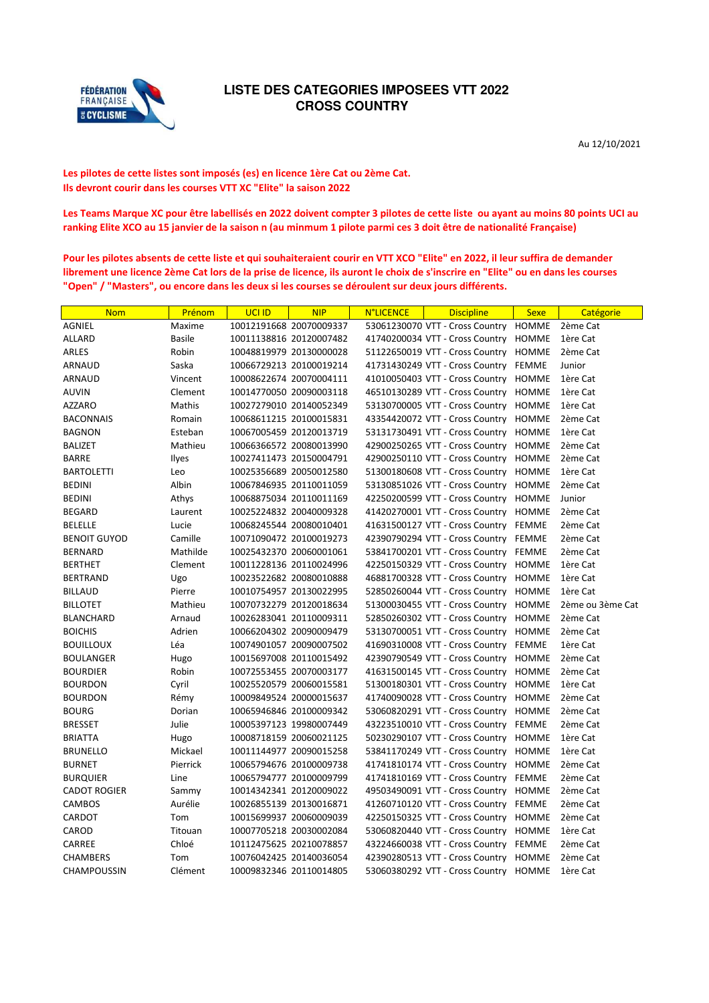

## **LISTE DES CATEGORIES IMPOSEES VTT 2022 CROSS COUNTRY**

**Les pilotes de cette listes sont imposés (es) en licence 1ère Cat ou 2ème Cat. Ils devront courir dans les courses VTT XC "Elite" la saison 2022**

**Les Teams Marque XC pour être labellisés en 2022 doivent compter 3 pilotes de cette liste ou ayant au moins 80 points UCI au ranking Elite XCO au 15 janvier de la saison n (au minmum 1 pilote parmi ces 3 doit être de nationalité Française)**

**Pour les pilotes absents de cette liste et qui souhaiteraient courir en VTT XCO "Elite" en 2022, il leur suffira de demander librement une licence 2ème Cat lors de la prise de licence, ils auront le choix de s'inscrire en "Elite" ou en dans les courses "Open" / "Masters", ou encore dans les deux si les courses se déroulent sur deux jours différents.**

| <b>Nom</b>          | Prénom        | <b>UCI ID</b>           | <b>NIP</b>              | <b>N°LICENCE</b> | <b>Discipline</b>                     | <b>Sexe</b> | Catégorie        |
|---------------------|---------------|-------------------------|-------------------------|------------------|---------------------------------------|-------------|------------------|
| AGNIEL              | Maxime        | 10012191668 20070009337 |                         |                  | 53061230070 VTT - Cross Country HOMME |             | 2ème Cat         |
| <b>ALLARD</b>       | <b>Basile</b> |                         | 10011138816 20120007482 |                  | 41740200034 VTT - Cross Country HOMME |             | 1ère Cat         |
| ARLES               | Robin         |                         | 10048819979 20130000028 |                  | 51122650019 VTT - Cross Country HOMME |             | 2ème Cat         |
| ARNAUD              | Saska         |                         | 10066729213 20100019214 |                  | 41731430249 VTT - Cross Country FEMME |             | Junior           |
| ARNAUD              | Vincent       |                         | 10008622674 20070004111 |                  | 41010050403 VTT - Cross Country HOMME |             | 1ère Cat         |
| <b>AUVIN</b>        | Clement       |                         | 10014770050 20090003118 |                  | 46510130289 VTT - Cross Country HOMME |             | 1ère Cat         |
| <b>AZZARO</b>       | Mathis        |                         | 10027279010 20140052349 |                  | 53130700005 VTT - Cross Country HOMME |             | 1ère Cat         |
| <b>BACONNAIS</b>    | Romain        |                         | 10068611215 20100015831 |                  | 43354420072 VTT - Cross Country HOMME |             | 2ème Cat         |
| <b>BAGNON</b>       | Esteban       |                         | 10067005459 20120013719 |                  | 53131730491 VTT - Cross Country HOMME |             | 1ère Cat         |
| <b>BALIZET</b>      | Mathieu       |                         | 10066366572 20080013990 |                  | 42900250265 VTT - Cross Country HOMME |             | 2ème Cat         |
| <b>BARRE</b>        | Ilyes         |                         | 10027411473 20150004791 |                  | 42900250110 VTT - Cross Country HOMME |             | 2ème Cat         |
| <b>BARTOLETTI</b>   | Leo           |                         | 10025356689 20050012580 |                  | 51300180608 VTT - Cross Country HOMME |             | 1ère Cat         |
| <b>BEDINI</b>       | Albin         |                         | 10067846935 20110011059 |                  | 53130851026 VTT - Cross Country HOMME |             | 2ème Cat         |
| <b>BEDINI</b>       | Athys         |                         | 10068875034 20110011169 |                  | 42250200599 VTT - Cross Country HOMME |             | Junior           |
| <b>BEGARD</b>       | Laurent       |                         | 10025224832 20040009328 |                  | 41420270001 VTT - Cross Country HOMME |             | 2ème Cat         |
| <b>BELELLE</b>      | Lucie         |                         | 10068245544 20080010401 |                  | 41631500127 VTT - Cross Country FEMME |             | 2ème Cat         |
| <b>BENOIT GUYOD</b> | Camille       |                         | 10071090472 20100019273 |                  | 42390790294 VTT - Cross Country FEMME |             | 2ème Cat         |
| <b>BERNARD</b>      | Mathilde      |                         | 10025432370 20060001061 |                  | 53841700201 VTT - Cross Country FEMME |             | 2ème Cat         |
| <b>BERTHET</b>      | Clement       |                         | 10011228136 20110024996 |                  | 42250150329 VTT - Cross Country HOMME |             | 1ère Cat         |
| <b>BERTRAND</b>     | Ugo           |                         | 10023522682 20080010888 |                  | 46881700328 VTT - Cross Country HOMME |             | 1ère Cat         |
| <b>BILLAUD</b>      | Pierre        |                         | 10010754957 20130022995 |                  | 52850260044 VTT - Cross Country HOMME |             | 1ère Cat         |
| <b>BILLOTET</b>     | Mathieu       |                         | 10070732279 20120018634 |                  | 51300030455 VTT - Cross Country HOMME |             | 2ème ou 3ème Cat |
| <b>BLANCHARD</b>    | Arnaud        |                         | 10026283041 20110009311 |                  | 52850260302 VTT - Cross Country HOMME |             | 2ème Cat         |
| <b>BOICHIS</b>      | Adrien        |                         | 10066204302 20090009479 |                  | 53130700051 VTT - Cross Country HOMME |             | 2ème Cat         |
| <b>BOUILLOUX</b>    | Léa           |                         | 10074901057 20090007502 |                  | 41690310008 VTT - Cross Country FEMME |             | 1ère Cat         |
| <b>BOULANGER</b>    | Hugo          |                         | 10015697008 20110015492 |                  | 42390790549 VTT - Cross Country HOMME |             | 2ème Cat         |
| <b>BOURDIER</b>     | Robin         |                         | 10072553455 20070003177 |                  | 41631500145 VTT - Cross Country HOMME |             | 2ème Cat         |
| <b>BOURDON</b>      | Cyril         |                         | 10025520579 20060015581 |                  | 51300180301 VTT - Cross Country HOMME |             | 1ère Cat         |
| <b>BOURDON</b>      | Rémy          |                         | 10009849524 20000015637 |                  | 41740090028 VTT - Cross Country HOMME |             | 2ème Cat         |
| <b>BOURG</b>        | Dorian        |                         | 10065946846 20100009342 |                  | 53060820291 VTT - Cross Country HOMME |             | 2ème Cat         |
| <b>BRESSET</b>      | Julie         |                         | 10005397123 19980007449 |                  | 43223510010 VTT - Cross Country FEMME |             | 2ème Cat         |
| <b>BRIATTA</b>      | Hugo          |                         | 10008718159 20060021125 |                  | 50230290107 VTT - Cross Country HOMME |             | 1ère Cat         |
| <b>BRUNELLO</b>     | Mickael       |                         | 10011144977 20090015258 |                  | 53841170249 VTT - Cross Country HOMME |             | 1ère Cat         |
| <b>BURNET</b>       | Pierrick      |                         | 10065794676 20100009738 |                  | 41741810174 VTT - Cross Country HOMME |             | 2ème Cat         |
| <b>BURQUIER</b>     | Line          |                         | 10065794777 20100009799 |                  | 41741810169 VTT - Cross Country FEMME |             | 2ème Cat         |
| <b>CADOT ROGIER</b> | Sammy         |                         | 10014342341 20120009022 |                  | 49503490091 VTT - Cross Country HOMME |             | 2ème Cat         |
| <b>CAMBOS</b>       | Aurélie       |                         | 10026855139 20130016871 |                  | 41260710120 VTT - Cross Country       | FEMME       | 2ème Cat         |
| CARDOT              | Tom           |                         | 10015699937 20060009039 |                  | 42250150325 VTT - Cross Country HOMME |             | 2ème Cat         |
| CAROD               | Titouan       |                         | 10007705218 20030002084 |                  | 53060820440 VTT - Cross Country HOMME |             | 1ère Cat         |
| CARREE              | Chloé         |                         | 10112475625 20210078857 |                  | 43224660038 VTT - Cross Country FEMME |             | 2ème Cat         |
| <b>CHAMBERS</b>     | Tom           |                         | 10076042425 20140036054 |                  | 42390280513 VTT - Cross Country HOMME |             | 2ème Cat         |
| <b>CHAMPOUSSIN</b>  | Clément       | 10009832346 20110014805 |                         |                  | 53060380292 VTT - Cross Country HOMME |             | 1ère Cat         |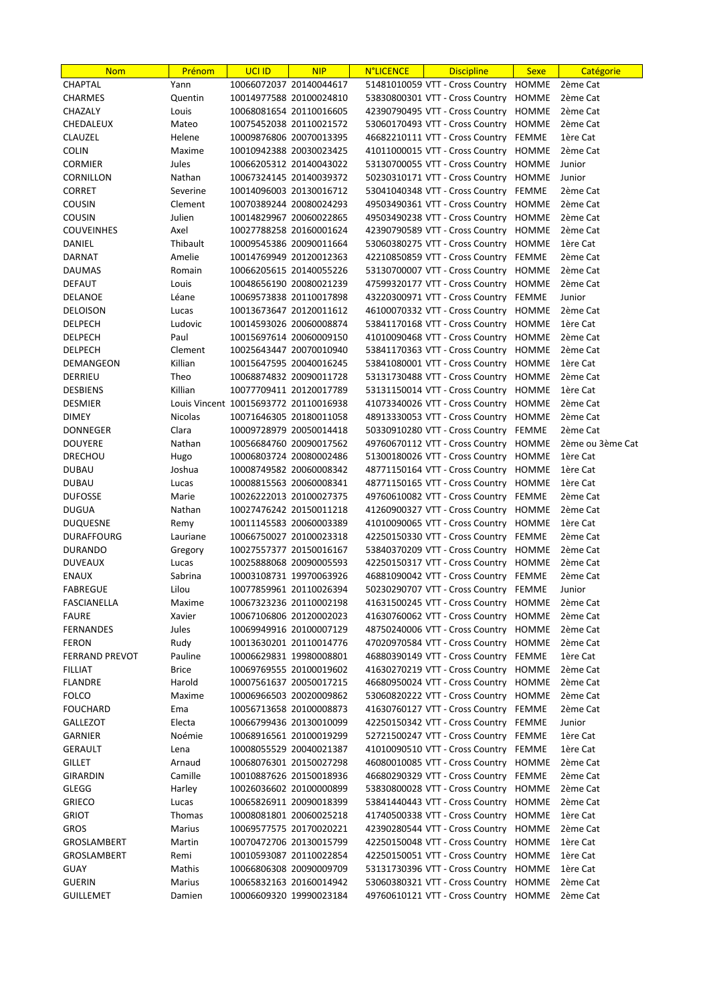| <b>Nom</b>            | <b>Prénom</b>  | <b>UCI ID</b>                         | <b>NIP</b>              | <b>N°LICENCE</b> | <b>Discipline</b>                     | <b>Sexe</b> | Catégorie        |
|-----------------------|----------------|---------------------------------------|-------------------------|------------------|---------------------------------------|-------------|------------------|
| CHAPTAL               | Yann           |                                       | 10066072037 20140044617 |                  | 51481010059 VTT - Cross Country       | HOMME       | 2ème Cat         |
| <b>CHARMES</b>        | Quentin        |                                       | 10014977588 20100024810 |                  | 53830800301 VTT - Cross Country       | HOMME       | 2ème Cat         |
| CHAZALY               | Louis          |                                       | 10068081654 20110016605 |                  | 42390790495 VTT - Cross Country HOMME |             | 2ème Cat         |
| CHEDALEUX             | Mateo          |                                       | 10075452038 20110021572 |                  | 53060170493 VTT - Cross Country       | HOMME       | 2ème Cat         |
| <b>CLAUZEL</b>        | Helene         |                                       | 10009876806 20070013395 |                  | 46682210111 VTT - Cross Country FEMME |             | 1ère Cat         |
| <b>COLIN</b>          | Maxime         |                                       | 10010942388 20030023425 |                  | 41011000015 VTT - Cross Country       | HOMME       | 2ème Cat         |
| <b>CORMIER</b>        | Jules          |                                       | 10066205312 20140043022 |                  | 53130700055 VTT - Cross Country       | HOMME       | Junior           |
| <b>CORNILLON</b>      | Nathan         |                                       | 10067324145 20140039372 |                  | 50230310171 VTT - Cross Country       | HOMME       | Junior           |
| <b>CORRET</b>         | Severine       |                                       | 10014096003 20130016712 |                  | 53041040348 VTT - Cross Country       | FEMME       | 2ème Cat         |
| COUSIN                | Clement        |                                       | 10070389244 20080024293 |                  | 49503490361 VTT - Cross Country HOMME |             | 2ème Cat         |
| <b>COUSIN</b>         | Julien         |                                       | 10014829967 20060022865 |                  | 49503490238 VTT - Cross Country       | HOMME       | 2ème Cat         |
| <b>COUVEINHES</b>     | Axel           |                                       | 10027788258 20160001624 |                  | 42390790589 VTT - Cross Country       | HOMME       | 2ème Cat         |
| DANIEL                | Thibault       |                                       | 10009545386 20090011664 |                  | 53060380275 VTT - Cross Country       | HOMME       | 1ère Cat         |
| <b>DARNAT</b>         | Amelie         |                                       | 10014769949 20120012363 |                  | 42210850859 VTT - Cross Country       | FEMME       | 2ème Cat         |
| <b>DAUMAS</b>         | Romain         |                                       | 10066205615 20140055226 |                  | 53130700007 VTT - Cross Country       | HOMME       | 2ème Cat         |
| <b>DEFAUT</b>         | Louis          |                                       | 10048656190 20080021239 |                  | 47599320177 VTT - Cross Country HOMME |             | 2ème Cat         |
| DELANOE               | Léane          |                                       | 10069573838 20110017898 |                  | 43220300971 VTT - Cross Country FEMME |             | Junior           |
| <b>DELOISON</b>       | Lucas          |                                       | 10013673647 20120011612 |                  | 46100070332 VTT - Cross Country       | HOMME       | 2ème Cat         |
| <b>DELPECH</b>        | Ludovic        |                                       | 10014593026 20060008874 |                  | 53841170168 VTT - Cross Country       | HOMME       | 1ère Cat         |
| <b>DELPECH</b>        | Paul           |                                       | 10015697614 20060009150 |                  | 41010090468 VTT - Cross Country       | HOMME       | 2ème Cat         |
| <b>DELPECH</b>        | Clement        |                                       | 10025643447 20070010940 |                  | 53841170363 VTT - Cross Country       | HOMME       | 2ème Cat         |
| DEMANGEON             | Killian        |                                       | 10015647595 20040016245 |                  | 53841080001 VTT - Cross Country       | HOMME       | 1ère Cat         |
| DERRIEU               | Theo           |                                       | 10068874832 20090011728 |                  | 53131730488 VTT - Cross Country       | HOMME       | 2ème Cat         |
| <b>DESBIENS</b>       | Killian        |                                       | 10077709411 20120017789 |                  | 53131150014 VTT - Cross Country HOMME |             | 1ère Cat         |
| <b>DESMIER</b>        |                | Louis Vincent 10015693772 20110016938 |                         |                  | 41073340026 VTT - Cross Country       | HOMME       | 2ème Cat         |
| <b>DIMEY</b>          | <b>Nicolas</b> |                                       | 10071646305 20180011058 |                  | 48913330053 VTT - Cross Country       | HOMME       | 2ème Cat         |
| <b>DONNEGER</b>       | Clara          |                                       | 10009728979 20050014418 |                  | 50330910280 VTT - Cross Country       | FEMME       | 2ème Cat         |
| <b>DOUYERE</b>        | Nathan         |                                       | 10056684760 20090017562 |                  | 49760670112 VTT - Cross Country       | HOMME       | 2ème ou 3ème Cat |
| DRECHOU               | Hugo           |                                       | 10006803724 20080002486 |                  | 51300180026 VTT - Cross Country       | HOMME       | 1ère Cat         |
| <b>DUBAU</b>          | Joshua         |                                       | 10008749582 20060008342 |                  | 48771150164 VTT - Cross Country       | HOMME       | 1ère Cat         |
| <b>DUBAU</b>          | Lucas          |                                       | 10008815563 20060008341 |                  | 48771150165 VTT - Cross Country HOMME |             | 1ère Cat         |
| <b>DUFOSSE</b>        | Marie          |                                       | 10026222013 20100027375 |                  | 49760610082 VTT - Cross Country       | FEMME       | 2ème Cat         |
| <b>DUGUA</b>          | Nathan         |                                       | 10027476242 20150011218 |                  | 41260900327 VTT - Cross Country       | HOMME       | 2ème Cat         |
| <b>DUQUESNE</b>       | Remy           |                                       | 10011145583 20060003389 |                  | 41010090065 VTT - Cross Country       | HOMME       | 1ère Cat         |
| <b>DURAFFOURG</b>     | Lauriane       |                                       | 10066750027 20100023318 |                  | 42250150330 VTT - Cross Country       | FEMME       | 2ème Cat         |
| <b>DURANDO</b>        | Gregory        |                                       | 10027557377 20150016167 |                  | 53840370209 VTT - Cross Country       | HOMME       | 2ème Cat         |
| <b>DUVEAUX</b>        | Lucas          |                                       | 10025888068 20090005593 |                  | 42250150317 VTT - Cross Country HOMME |             | 2ème Cat         |
| <b>ENAUX</b>          | Sabrina        |                                       | 10003108731 19970063926 |                  | 46881090042 VTT - Cross Country FEMME |             | 2ème Cat         |
| <b>FABREGUE</b>       | Lilou          |                                       | 10077859961 20110026394 |                  | 50230290707 VTT - Cross Country FEMME |             | Junior           |
| FASCIANELLA           | Maxime         |                                       | 10067323236 20110002198 |                  | 41631500245 VTT - Cross Country       | HOMME       | 2ème Cat         |
| <b>FAURE</b>          | Xavier         |                                       | 10067106806 20120002023 |                  | 41630760062 VTT - Cross Country       | HOMME       | 2ème Cat         |
| <b>FERNANDES</b>      | Jules          |                                       | 10069949916 20100007129 |                  | 48750240006 VTT - Cross Country HOMME |             | 2ème Cat         |
| <b>FERON</b>          | Rudy           |                                       | 10013630201 20110014776 |                  | 47020970584 VTT - Cross Country HOMME |             | 2ème Cat         |
| <b>FERRAND PREVOT</b> | Pauline        |                                       | 10006629831 19980008801 |                  | 46880390149 VTT - Cross Country       | FEMME       | 1ère Cat         |
| FILLIAT               | Brice          |                                       | 10069769555 20100019602 |                  | 41630270219 VTT - Cross Country HOMME |             | 2ème Cat         |
| <b>FLANDRE</b>        | Harold         |                                       | 10007561637 20050017215 |                  | 46680950024 VTT - Cross Country HOMME |             | 2ème Cat         |
| <b>FOLCO</b>          | Maxime         |                                       | 10006966503 20020009862 |                  | 53060820222 VTT - Cross Country HOMME |             | 2ème Cat         |
| <b>FOUCHARD</b>       | Ema            |                                       | 10056713658 20100008873 |                  | 41630760127 VTT - Cross Country FEMME |             | 2ème Cat         |
| GALLEZOT              | Electa         |                                       | 10066799436 20130010099 |                  | 42250150342 VTT - Cross Country FEMME |             | Junior           |
| GARNIER               | Noémie         |                                       | 10068916561 20100019299 |                  | 52721500247 VTT - Cross Country FEMME |             | 1ère Cat         |
| <b>GERAULT</b>        | Lena           |                                       | 10008055529 20040021387 |                  | 41010090510 VTT - Cross Country FEMME |             | 1ère Cat         |
| <b>GILLET</b>         | Arnaud         |                                       | 10068076301 20150027298 |                  | 46080010085 VTT - Cross Country HOMME |             | 2ème Cat         |
| <b>GIRARDIN</b>       | Camille        |                                       | 10010887626 20150018936 |                  | 46680290329 VTT - Cross Country FEMME |             | 2ème Cat         |
| GLEGG                 | Harley         |                                       | 10026036602 20100000899 |                  | 53830800028 VTT - Cross Country HOMME |             | 2ème Cat         |
| <b>GRIECO</b>         | Lucas          |                                       | 10065826911 20090018399 |                  | 53841440443 VTT - Cross Country HOMME |             | 2ème Cat         |
| <b>GRIOT</b>          | Thomas         |                                       | 10008081801 20060025218 |                  | 41740500338 VTT - Cross Country       | HOMME       | 1ère Cat         |
| <b>GROS</b>           | Marius         |                                       | 10069577575 20170020221 |                  | 42390280544 VTT - Cross Country HOMME |             | 2ème Cat         |
| GROSLAMBERT           | Martin         |                                       | 10070472706 20130015799 |                  | 42250150048 VTT - Cross Country       | HOMME       | 1ère Cat         |
| GROSLAMBERT           | Remi           |                                       | 10010593087 20110022854 |                  | 42250150051 VTT - Cross Country HOMME |             | 1ère Cat         |
| <b>GUAY</b>           | Mathis         |                                       | 10066806308 20090009709 |                  | 53131730396 VTT - Cross Country HOMME |             | 1ère Cat         |
| <b>GUERIN</b>         | Marius         |                                       | 10065832163 20160014942 |                  | 53060380321 VTT - Cross Country       | HOMME       | 2ème Cat         |
| <b>GUILLEMET</b>      | Damien         |                                       | 10006609320 19990023184 |                  | 49760610121 VTT - Cross Country HOMME |             | 2ème Cat         |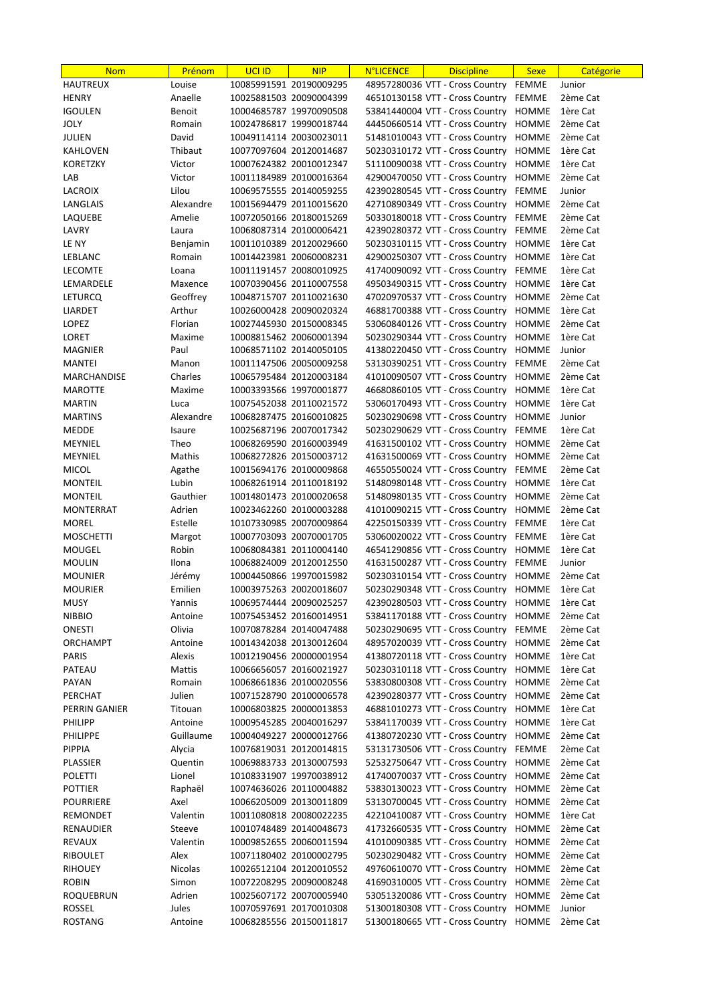| <b>Nom</b>       | Prénom    | <b>UCI ID</b> | <b>NIP</b>              | <b>N°LICENCE</b> | <b>Discipline</b>                     | <b>Sexe</b> | Catégorie |
|------------------|-----------|---------------|-------------------------|------------------|---------------------------------------|-------------|-----------|
| <b>HAUTREUX</b>  | Louise    |               | 10085991591 20190009295 |                  | 48957280036 VTT - Cross Country FEMME |             | Junior    |
| <b>HENRY</b>     | Anaelle   |               | 10025881503 20090004399 |                  | 46510130158 VTT - Cross Country FEMME |             | 2ème Cat  |
| <b>IGOULEN</b>   | Benoit    |               | 10004685787 19970090508 |                  | 53841440004 VTT - Cross Country HOMME |             | 1ère Cat  |
| <b>JOLY</b>      | Romain    |               | 10024786817 19990018744 |                  | 44450660514 VTT - Cross Country HOMME |             | 2ème Cat  |
| JULIEN           | David     |               | 10049114114 20030023011 |                  | 51481010043 VTT - Cross Country HOMME |             | 2ème Cat  |
| KAHLOVEN         | Thibaut   |               | 10077097604 20120014687 |                  | 50230310172 VTT - Cross Country HOMME |             | 1ère Cat  |
| <b>KORETZKY</b>  | Victor    |               | 10007624382 20010012347 |                  | 51110090038 VTT - Cross Country HOMME |             | 1ère Cat  |
| LAB              | Victor    |               | 10011184989 20100016364 |                  | 42900470050 VTT - Cross Country HOMME |             | 2ème Cat  |
| LACROIX          | Lilou     |               | 10069575555 20140059255 |                  | 42390280545 VTT - Cross Country FEMME |             | Junior    |
| LANGLAIS         | Alexandre |               | 10015694479 20110015620 |                  | 42710890349 VTT - Cross Country HOMME |             | 2ème Cat  |
| LAQUEBE          | Amelie    |               | 10072050166 20180015269 |                  | 50330180018 VTT - Cross Country FEMME |             | 2ème Cat  |
| LAVRY            | Laura     |               | 10068087314 20100006421 |                  | 42390280372 VTT - Cross Country FEMME |             | 2ème Cat  |
| LE NY            | Benjamin  |               | 10011010389 20120029660 |                  | 50230310115 VTT - Cross Country HOMME |             | 1ère Cat  |
| LEBLANC          | Romain    |               | 10014423981 20060008231 |                  | 42900250307 VTT - Cross Country HOMME |             | 1ère Cat  |
| <b>LECOMTE</b>   | Loana     |               | 10011191457 20080010925 |                  | 41740090092 VTT - Cross Country FEMME |             | 1ère Cat  |
| LEMARDELE        | Maxence   |               | 10070390456 20110007558 |                  | 49503490315 VTT - Cross Country HOMME |             | 1ère Cat  |
| <b>LETURCQ</b>   | Geoffrey  |               | 10048715707 20110021630 |                  | 47020970537 VTT - Cross Country HOMME |             | 2ème Cat  |
| LIARDET          | Arthur    |               | 10026000428 20090020324 |                  | 46881700388 VTT - Cross Country HOMME |             | 1ère Cat  |
| LOPEZ            | Florian   |               | 10027445930 20150008345 |                  | 53060840126 VTT - Cross Country HOMME |             | 2ème Cat  |
| LORET            | Maxime    |               | 10008815462 20060001394 |                  | 50230290344 VTT - Cross Country HOMME |             | 1ère Cat  |
| MAGNIER          | Paul      |               | 10068571102 20140050105 |                  | 41380220450 VTT - Cross Country HOMME |             | Junior    |
| <b>MANTEI</b>    | Manon     |               | 10011147506 20050009258 |                  | 53130390251 VTT - Cross Country FEMME |             | 2ème Cat  |
| MARCHANDISE      | Charles   |               | 10065795484 20120003184 |                  | 41010090507 VTT - Cross Country HOMME |             | 2ème Cat  |
| <b>MAROTTE</b>   | Maxime    |               | 10003393566 19970001877 |                  | 46680860105 VTT - Cross Country HOMME |             | 1ère Cat  |
| <b>MARTIN</b>    | Luca      |               | 10075452038 20110021572 |                  | 53060170493 VTT - Cross Country HOMME |             | 1ère Cat  |
| <b>MARTINS</b>   | Alexandre |               | 10068287475 20160010825 |                  | 50230290698 VTT - Cross Country HOMME |             | Junior    |
| MEDDE            | Isaure    |               | 10025687196 20070017342 |                  | 50230290629 VTT - Cross Country FEMME |             | 1ère Cat  |
| MEYNIEL          | Theo      |               | 10068269590 20160003949 |                  | 41631500102 VTT - Cross Country HOMME |             | 2ème Cat  |
| MEYNIEL          | Mathis    |               | 10068272826 20150003712 |                  | 41631500069 VTT - Cross Country HOMME |             | 2ème Cat  |
| <b>MICOL</b>     | Agathe    |               | 10015694176 20100009868 |                  | 46550550024 VTT - Cross Country FEMME |             | 2ème Cat  |
| <b>MONTEIL</b>   | Lubin     |               | 10068261914 20110018192 |                  | 51480980148 VTT - Cross Country HOMME |             | 1ère Cat  |
| MONTEIL          | Gauthier  |               | 10014801473 20100020658 |                  | 51480980135 VTT - Cross Country HOMME |             | 2ème Cat  |
| MONTERRAT        | Adrien    |               | 10023462260 20100003288 |                  | 41010090215 VTT - Cross Country HOMME |             | 2ème Cat  |
| MOREL            | Estelle   |               | 10107330985 20070009864 |                  | 42250150339 VTT - Cross Country FEMME |             | 1ère Cat  |
| <b>MOSCHETTI</b> | Margot    |               | 10007703093 20070001705 |                  | 53060020022 VTT - Cross Country FEMME |             | 1ère Cat  |
| MOUGEL           | Robin     |               | 10068084381 20110004140 |                  | 46541290856 VTT - Cross Country HOMME |             | 1ère Cat  |
| <b>MOULIN</b>    | Ilona     |               | 10068824009 20120012550 |                  | 41631500287 VTT - Cross Country FEMME |             | Junior    |
| <b>MOUNIER</b>   | Jérémy    |               | 10004450866 19970015982 |                  | 50230310154 VTT - Cross Country HOMME |             | 2ème Cat  |
| <b>MOURIER</b>   | Emilien   |               | 10003975263 20020018607 |                  | 50230290348 VTT - Cross Country HOMME |             | 1ère Cat  |
| <b>MUSY</b>      | Yannis    |               | 10069574444 20090025257 |                  | 42390280503 VTT - Cross Country HOMME |             | 1ère Cat  |
| <b>NIBBIO</b>    | Antoine   |               | 10075453452 20160014951 |                  | 53841170188 VTT - Cross Country HOMME |             | 2ème Cat  |
| ONESTI           | Olivia    |               | 10070878284 20140047488 |                  | 50230290695 VTT - Cross Country FEMME |             | 2ème Cat  |
| ORCHAMPT         | Antoine   |               | 10014342038 20130012604 |                  | 48957020039 VTT - Cross Country HOMME |             | 2ème Cat  |
| PARIS            | Alexis    |               | 10012190456 20000001954 |                  | 41380720118 VTT - Cross Country HOMME |             | 1ère Cat  |
| PATEAU           | Mattis    |               | 10066656057 20160021927 |                  | 50230310118 VTT - Cross Country HOMME |             | 1ère Cat  |
| PAYAN            | Romain    |               | 10068661836 20100020556 |                  | 53830800308 VTT - Cross Country HOMME |             | 2ème Cat  |
| PERCHAT          | Julien    |               | 10071528790 20100006578 |                  | 42390280377 VTT - Cross Country HOMME |             | 2ème Cat  |
| PERRIN GANIER    | Titouan   |               | 10006803825 20000013853 |                  | 46881010273 VTT - Cross Country HOMME |             | 1ère Cat  |
| <b>PHILIPP</b>   | Antoine   |               | 10009545285 20040016297 |                  | 53841170039 VTT - Cross Country HOMME |             | 1ère Cat  |
| PHILIPPE         | Guillaume |               | 10004049227 20000012766 |                  | 41380720230 VTT - Cross Country HOMME |             | 2ème Cat  |
| <b>PIPPIA</b>    | Alycia    |               | 10076819031 20120014815 |                  | 53131730506 VTT - Cross Country FEMME |             | 2ème Cat  |
| PLASSIER         | Quentin   |               | 10069883733 20130007593 |                  | 52532750647 VTT - Cross Country HOMME |             | 2ème Cat  |
| <b>POLETTI</b>   | Lionel    |               | 10108331907 19970038912 |                  | 41740070037 VTT - Cross Country HOMME |             | 2ème Cat  |
| POTTIER          | Raphaël   |               | 10074636026 20110004882 |                  | 53830130023 VTT - Cross Country HOMME |             | 2ème Cat  |
| POURRIERE        | Axel      |               | 10066205009 20130011809 |                  | 53130700045 VTT - Cross Country HOMME |             | 2ème Cat  |
| REMONDET         | Valentin  |               | 10011080818 20080022235 |                  | 42210410087 VTT - Cross Country HOMME |             | 1ère Cat  |
| RENAUDIER        | Steeve    |               | 10010748489 20140048673 |                  | 41732660535 VTT - Cross Country HOMME |             | 2ème Cat  |
| REVAUX           | Valentin  |               | 10009852655 20060011594 |                  | 41010090385 VTT - Cross Country HOMME |             | 2ème Cat  |
| <b>RIBOULET</b>  | Alex      |               | 10071180402 20100002795 |                  | 50230290482 VTT - Cross Country HOMME |             | 2ème Cat  |
| <b>RIHOUEY</b>   | Nicolas   |               | 10026512104 20120010552 |                  | 49760610070 VTT - Cross Country HOMME |             | 2ème Cat  |
| <b>ROBIN</b>     | Simon     |               | 10072208295 20090008248 |                  | 41690310005 VTT - Cross Country HOMME |             | 2ème Cat  |
| ROQUEBRUN        | Adrien    |               | 10025607172 20070005940 |                  | 53051320086 VTT - Cross Country HOMME |             | 2ème Cat  |
| <b>ROSSEL</b>    | Jules     |               | 10070597691 20170010308 |                  | 51300180308 VTT - Cross Country HOMME |             | Junior    |
| ROSTANG          | Antoine   |               | 10068285556 20150011817 |                  | 51300180665 VTT - Cross Country HOMME |             | 2ème Cat  |